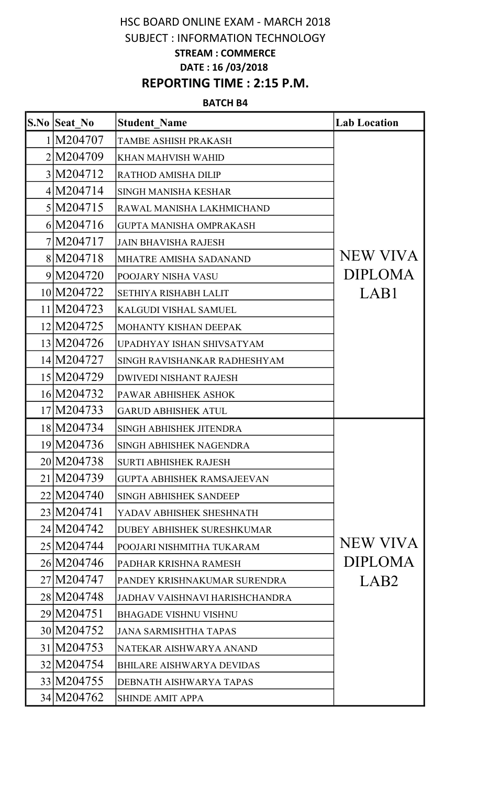## HSC BOARD ONLINE EXAM - MARCH 2018 SUBJECT : INFORMATION TECHNOLOGY STREAM : COMMERCE DATE : 16 /03/2018 REPORTING TIME : 2:15 P.M.

## BATCH B4

| <b>S.No Seat No</b> | <b>Student Name</b>               | <b>Lab Location</b> |
|---------------------|-----------------------------------|---------------------|
| 1 M204707           | <b>TAMBE ASHISH PRAKASH</b>       |                     |
| 2M204709            | <b>KHAN MAHVISH WAHID</b>         |                     |
| 3 M204712           | RATHOD AMISHA DILIP               |                     |
| 4 M204714           | <b>SINGH MANISHA KESHAR</b>       |                     |
| 5 M204715           | RAWAL MANISHA LAKHMICHAND         |                     |
| 6 M204716           | <b>GUPTA MANISHA OMPRAKASH</b>    |                     |
| 7 M204717           | <b>JAIN BHAVISHA RAJESH</b>       |                     |
| 8 M204718           | <b>MHATRE AMISHA SADANAND</b>     | <b>NEW VIVA</b>     |
| 9 M204720           | POOJARY NISHA VASU                | <b>DIPLOMA</b>      |
| 10 M204722          | <b>SETHIYA RISHABH LALIT</b>      | LAB1                |
| 11 M204723          | <b>KALGUDI VISHAL SAMUEL</b>      |                     |
| 12 M204725          | <b>MOHANTY KISHAN DEEPAK</b>      |                     |
| 13 M204726          | UPADHYAY ISHAN SHIVSATYAM         |                     |
| 14 M204727          | SINGH RAVISHANKAR RADHESHYAM      |                     |
| 15 M204729          | <b>DWIVEDI NISHANT RAJESH</b>     |                     |
| 16 M204732          | PAWAR ABHISHEK ASHOK              |                     |
| 17 M204733          | <b>GARUD ABHISHEK ATUL</b>        |                     |
| 18 M204734          | SINGH ABHISHEK JITENDRA           |                     |
| 19 M204736          | <b>SINGH ABHISHEK NAGENDRA</b>    |                     |
| 20 M204738          | <b>SURTI ABHISHEK RAJESH</b>      |                     |
| 21 M204739          | <b>GUPTA ABHISHEK RAMSAJEEVAN</b> |                     |
| 22 M204740          | <b>SINGH ABHISHEK SANDEEP</b>     |                     |
| 23 M204741          | YADAV ABHISHEK SHESHNATH          |                     |
| 24 M204742          | <b>DUBEY ABHISHEK SURESHKUMAR</b> |                     |
| 25 M204744          | POOJARI NISHMITHA TUKARAM         | NEW VIVA            |
| 26 M204746          | PADHAR KRISHNA RAMESH             | <b>DIPLOMA</b>      |
| 27 M204747          | PANDEY KRISHNAKUMAR SURENDRA      | LAB <sub>2</sub>    |
| 28 M 204748         | JADHAV VAISHNAVI HARISHCHANDRA    |                     |
| 29 M204751          | <b>BHAGADE VISHNU VISHNU</b>      |                     |
| 30 M204752          | <b>JANA SARMISHTHA TAPAS</b>      |                     |
| 31 M204753          | NATEKAR AISHWARYA ANAND           |                     |
| 32 M204754          | <b>BHILARE AISHWARYA DEVIDAS</b>  |                     |
| 33 M204755          | DEBNATH AISHWARYA TAPAS           |                     |
| 34 M204762          | <b>SHINDE AMIT APPA</b>           |                     |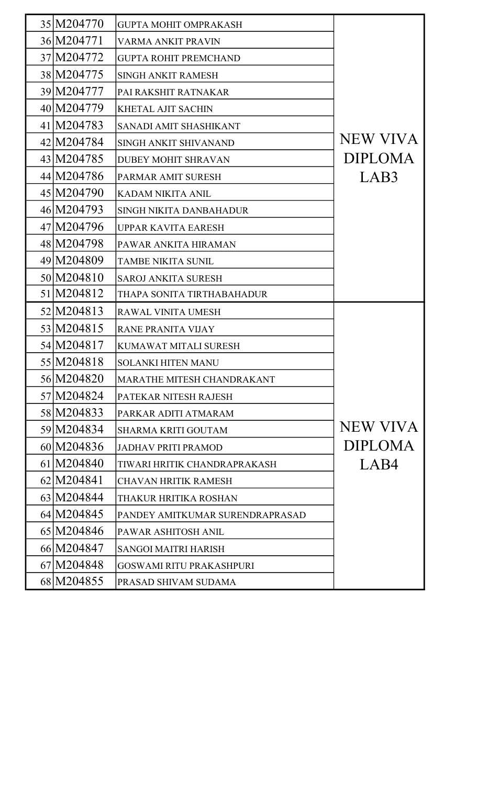| 35 M204770   | <b>GUPTA MOHIT OMPRAKASH</b>    |                |
|--------------|---------------------------------|----------------|
| 36 M204771   | <b>VARMA ANKIT PRAVIN</b>       |                |
| 37 M204772   | <b>GUPTA ROHIT PREMCHAND</b>    |                |
| 38 M204775   | <b>SINGH ANKIT RAMESH</b>       |                |
| 39 M204777   | PAI RAKSHIT RATNAKAR            |                |
| 40 M204779   | <b>KHETAL AJIT SACHIN</b>       |                |
| 41 M204783   | <b>SANADI AMIT SHASHIKANT</b>   |                |
| 42 M204784   | <b>SINGH ANKIT SHIVANAND</b>    | NEW VIVA       |
| 43 M204785   | <b>DUBEY MOHIT SHRAVAN</b>      | <b>DIPLOMA</b> |
| 44 M204786   | PARMAR AMIT SURESH              | LAB3           |
| 45 M204790   | <b>KADAM NIKITA ANIL</b>        |                |
| 46 M204793   | SINGH NIKITA DANBAHADUR         |                |
| 47 M204796   | <b>UPPAR KAVITA EARESH</b>      |                |
| 48 M204798   | PAWAR ANKITA HIRAMAN            |                |
| 49 M204809   | <b>TAMBE NIKITA SUNIL</b>       |                |
| 50 M204810   | <b>SAROJ ANKITA SURESH</b>      |                |
| 51 M204812   | THAPA SONITA TIRTHABAHADUR      |                |
| 52 M204813   | RAWAL VINITA UMESH              |                |
| 53 M204815   | <b>RANE PRANITA VIJAY</b>       |                |
| 54 M204817   | <b>KUMAWAT MITALI SURESH</b>    |                |
| 55 M204818   | <b>SOLANKI HITEN MANU</b>       |                |
| 56 M204820   | MARATHE MITESH CHANDRAKANT      |                |
| 57 M204824   | PATEKAR NITESH RAJESH           |                |
| 58 M 2048 33 | PARKAR ADITI ATMARAM            |                |
| 59 M204834   | <b>SHARMA KRITI GOUTAM</b>      | NEW VIVA       |
| 60 M204836   | <b>JADHAV PRITI PRAMOD</b>      | <b>DIPLOMA</b> |
| 61 M204840   | TIWARI HRITIK CHANDRAPRAKASH    | LAB4           |
| 62 M204841   | <b>CHAVAN HRITIK RAMESH</b>     |                |
| 63 M204844   | THAKUR HRITIKA ROSHAN           |                |
| 64 M204845   | PANDEY AMITKUMAR SURENDRAPRASAD |                |
| 65 M204846   | PAWAR ASHITOSH ANIL             |                |
| 66 M204847   | <b>SANGOI MAITRI HARISH</b>     |                |
|              |                                 |                |
| 67 M204848   | <b>GOSWAMI RITU PRAKASHPURI</b> |                |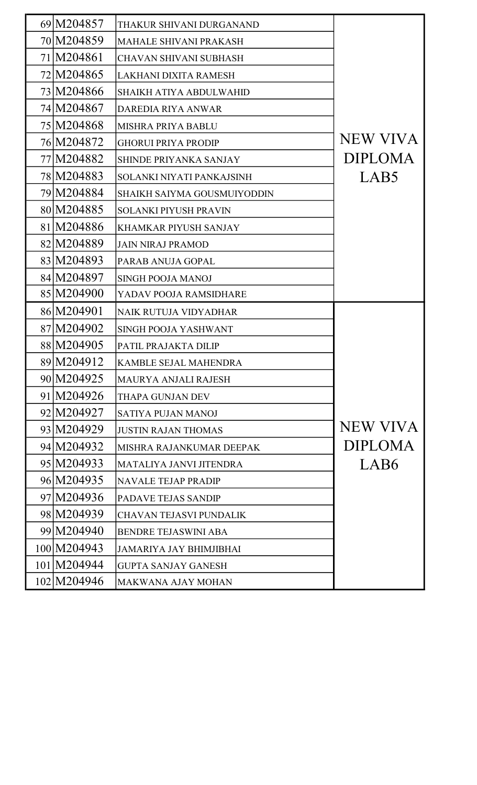| 69 M204857  | THAKUR SHIVANI DURGANAND           |                 |
|-------------|------------------------------------|-----------------|
| 70 M204859  | <b>MAHALE SHIVANI PRAKASH</b>      |                 |
| 71 M204861  | <b>CHAVAN SHIVANI SUBHASH</b>      |                 |
| 72 M204865  | LAKHANI DIXITA RAMESH              |                 |
| 73 M204866  | <b>SHAIKH ATIYA ABDULWAHID</b>     |                 |
| 74 M204867  | <b>DAREDIA RIYA ANWAR</b>          |                 |
| 75 M204868  | <b>MISHRA PRIYA BABLU</b>          |                 |
| 76 M204872  | <b>GHORUI PRIYA PRODIP</b>         | <b>NEW VIVA</b> |
| 77 M204882  | SHINDE PRIYANKA SANJAY             | <b>DIPLOMA</b>  |
| 78 M 204883 | SOLANKI NIYATI PANKAJSINH          | LAB5            |
| 79 M204884  | <b>SHAIKH SAIYMA GOUSMUIYODDIN</b> |                 |
| 80 M204885  | <b>SOLANKI PIYUSH PRAVIN</b>       |                 |
| 81 M204886  | <b>KHAMKAR PIYUSH SANJAY</b>       |                 |
| 82 M204889  | <b>JAIN NIRAJ PRAMOD</b>           |                 |
| 83 M204893  | PARAB ANUJA GOPAL                  |                 |
| 84 M204897  | <b>SINGH POOJA MANOJ</b>           |                 |
| 85 M204900  | YADAV POOJA RAMSIDHARE             |                 |
| 86 M204901  | <b>NAIK RUTUJA VIDYADHAR</b>       |                 |
| 87 M204902  | SINGH POOJA YASHWANT               |                 |
| 88 M204905  | PATIL PRAJAKTA DILIP               |                 |
| 89 M2049 12 | <b>KAMBLE SEJAL MAHENDRA</b>       |                 |
| 90 M204925  | <b>MAURYA ANJALI RAJESH</b>        |                 |
| 91 M204926  | THAPA GUNJAN DEV                   |                 |
| 92 M204927  | <b>SATIYA PUJAN MANOJ</b>          |                 |
| 93 M204929  | <b>JUSTIN RAJAN THOMAS</b>         | <b>NEW VIVA</b> |
| 94 M204932  | <b>MISHRA RAJANKUMAR DEEPAK</b>    | <b>DIPLOMA</b>  |
| 95 M204933  | MATALIYA JANVI JITENDRA            | LAB6            |
| 96 M204935  | <b>NAVALE TEJAP PRADIP</b>         |                 |
| 97 M204936  | <b>PADAVE TEJAS SANDIP</b>         |                 |
| 98 M204939  | <b>CHAVAN TEJASVI PUNDALIK</b>     |                 |
| 99 M204940  | <b>BENDRE TEJASWINI ABA</b>        |                 |
|             |                                    |                 |
| 100 M204943 | <b>JAMARIYA JAY BHIMJIBHAI</b>     |                 |
| 101 M204944 | <b>GUPTA SANJAY GANESH</b>         |                 |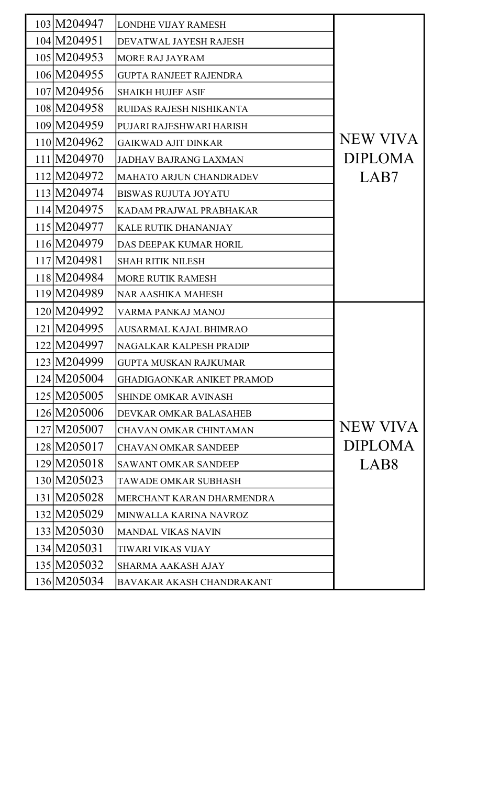| 103 M204947 | <b>LONDHE VIJAY RAMESH</b>        |                  |
|-------------|-----------------------------------|------------------|
| 104 M204951 | DEVATWAL JAYESH RAJESH            |                  |
| 105 M204953 | <b>MORE RAJ JAYRAM</b>            |                  |
| 106 M204955 | <b>GUPTA RANJEET RAJENDRA</b>     |                  |
| 107 M204956 | <b>SHAIKH HUJEF ASIF</b>          |                  |
| 108 M204958 | RUIDAS RAJESH NISHIKANTA          |                  |
| 109 M204959 | PUJARI RAJESHWARI HARISH          |                  |
| 110 M204962 | <b>GAIKWAD AJIT DINKAR</b>        | <b>NEW VIVA</b>  |
| 111 M204970 | <b>JADHAV BAJRANG LAXMAN</b>      | <b>DIPLOMA</b>   |
| 112 M204972 | MAHATO ARJUN CHANDRADEV           | LAB7             |
| 113 M204974 | <b>BISWAS RUJUTA JOYATU</b>       |                  |
| 114 M204975 | KADAM PRAJWAL PRABHAKAR           |                  |
| 115 M204977 | <b>KALE RUTIK DHANANJAY</b>       |                  |
| 116 M204979 | DAS DEEPAK KUMAR HORIL            |                  |
| 117 M204981 | <b>SHAH RITIK NILESH</b>          |                  |
| 118 M204984 | <b>MORE RUTIK RAMESH</b>          |                  |
| 119 M204989 | <b>NAR AASHIKA MAHESH</b>         |                  |
| 120 M204992 | VARMA PANKAJ MANOJ                |                  |
| 121 M204995 | AUSARMAL KAJAL BHIMRAO            |                  |
| 122 M204997 | <b>NAGALKAR KALPESH PRADIP</b>    |                  |
| 123 M204999 | <b>GUPTA MUSKAN RAJKUMAR</b>      |                  |
| 124 M205004 | <b>GHADIGAONKAR ANIKET PRAMOD</b> |                  |
| 125 M205005 | <b>SHINDE OMKAR AVINASH</b>       |                  |
| 126 M205006 | DEVKAR OMKAR BALASAHEB            |                  |
| 127 M205007 | <b>CHAVAN OMKAR CHINTAMAN</b>     | <b>NEW VIVA</b>  |
| 128 M205017 | <b>CHAVAN OMKAR SANDEEP</b>       | <b>DIPLOMA</b>   |
| 129 M205018 | <b>SAWANT OMKAR SANDEEP</b>       | LAB <sub>8</sub> |
| 130 M205023 | TAWADE OMKAR SUBHASH              |                  |
| 131 M205028 | MERCHANT KARAN DHARMENDRA         |                  |
| 132 M205029 | MINWALLA KARINA NAVROZ            |                  |
| 133 M205030 | <b>MANDAL VIKAS NAVIN</b>         |                  |
| 134 M205031 | <b>TIWARI VIKAS VIJAY</b>         |                  |
| 135 M205032 | <b>SHARMA AAKASH AJAY</b>         |                  |
| 136 M205034 | BAVAKAR AKASH CHANDRAKANT         |                  |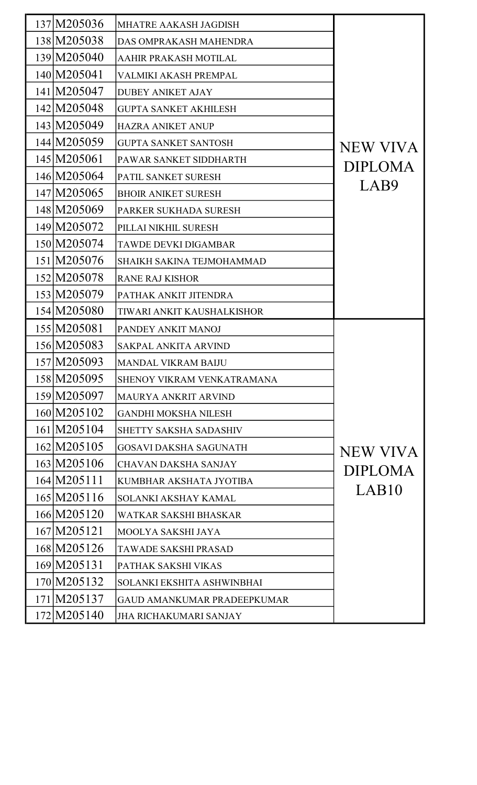| 137 M205036 | MHATRE AAKASH JAGDISH              |                 |
|-------------|------------------------------------|-----------------|
| 138 M205038 | DAS OMPRAKASH MAHENDRA             |                 |
| 139 M205040 | AAHIR PRAKASH MOTILAL              |                 |
| 140 M205041 | VALMIKI AKASH PREMPAL              |                 |
| 141 M205047 | <b>DUBEY ANIKET AJAY</b>           |                 |
| 142 M205048 | <b>GUPTA SANKET AKHILESH</b>       |                 |
| 143 M205049 | <b>HAZRA ANIKET ANUP</b>           |                 |
| 144 M205059 | <b>GUPTA SANKET SANTOSH</b>        | NEW VIVA        |
| 145 M205061 | PAWAR SANKET SIDDHARTH             | <b>DIPLOMA</b>  |
| 146 M205064 | PATIL SANKET SURESH                |                 |
| 147 M205065 | <b>BHOIR ANIKET SURESH</b>         | LAB9            |
| 148 M205069 | PARKER SUKHADA SURESH              |                 |
| 149 M205072 | PILLAI NIKHIL SURESH               |                 |
| 150 M205074 | <b>TAWDE DEVKI DIGAMBAR</b>        |                 |
| 151 M205076 | SHAIKH SAKINA TEJMOHAMMAD          |                 |
| 152 M205078 | <b>RANE RAJ KISHOR</b>             |                 |
| 153 M205079 | PATHAK ANKIT JITENDRA              |                 |
| 154 M205080 | TIWARI ANKIT KAUSHALKISHOR         |                 |
| 155 M205081 | PANDEY ANKIT MANOJ                 |                 |
| 156 M205083 | <b>SAKPAL ANKITA ARVIND</b>        |                 |
| 157 M205093 | <b>MANDAL VIKRAM BAIJU</b>         |                 |
| 158 M205095 | <b>SHENOY VIKRAM VENKATRAMANA</b>  |                 |
| 159 M205097 | MAURYA ANKRIT ARVIND               |                 |
| 160 M205102 | <b>GANDHI MOKSHA NILESH</b>        |                 |
| 161 M205104 | SHETTY SAKSHA SADASHIV             |                 |
| 162 M205105 | <b>GOSAVI DAKSHA SAGUNATH</b>      | <b>NEW VIVA</b> |
| 163 M205106 | <b>CHAVAN DAKSHA SANJAY</b>        | <b>DIPLOMA</b>  |
| 164 M205111 | KUMBHAR AKSHATA JYOTIBA            |                 |
| 165 M205116 | <b>SOLANKI AKSHAY KAMAL</b>        | LAB10           |
| 166 M205120 | WATKAR SAKSHI BHASKAR              |                 |
| 167 M205121 | MOOLYA SAKSHI JAYA                 |                 |
| 168 M205126 | <b>TAWADE SAKSHI PRASAD</b>        |                 |
| 169 M205131 | PATHAK SAKSHI VIKAS                |                 |
| 170 M205132 | SOLANKI EKSHITA ASHWINBHAI         |                 |
| 171 M205137 | <b>GAUD AMANKUMAR PRADEEPKUMAR</b> |                 |
| 172 M205140 | <b>JHA RICHAKUMARI SANJAY</b>      |                 |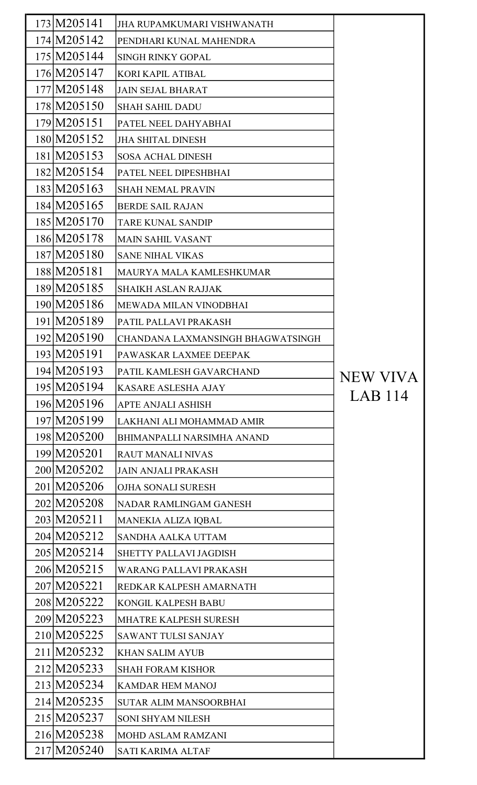| 173 M205141 | <b>JHA RUPAMKUMARI VISHWANATH</b> |          |
|-------------|-----------------------------------|----------|
| 174 M205142 | PENDHARI KUNAL MAHENDRA           |          |
| 175 M205144 | <b>SINGH RINKY GOPAL</b>          |          |
| 176 M205147 | <b>KORI KAPIL ATIBAL</b>          |          |
| 177 M205148 | <b>JAIN SEJAL BHARAT</b>          |          |
| 178 M205150 | <b>SHAH SAHIL DADU</b>            |          |
| 179 M205151 | PATEL NEEL DAHYABHAI              |          |
| 180 M205152 | <b>JHA SHITAL DINESH</b>          |          |
| 181 M205153 | <b>SOSA ACHAL DINESH</b>          |          |
| 182 M205154 | PATEL NEEL DIPESHBHAI             |          |
| 183 M205163 | <b>SHAH NEMAL PRAVIN</b>          |          |
| 184 M205165 | <b>BERDE SAIL RAJAN</b>           |          |
| 185 M205170 | <b>TARE KUNAL SANDIP</b>          |          |
| 186 M205178 | <b>MAIN SAHIL VASANT</b>          |          |
| 187 M205180 | <b>SANE NIHAL VIKAS</b>           |          |
| 188 M205181 | MAURYA MALA KAMLESHKUMAR          |          |
| 189 M205185 | <b>SHAIKH ASLAN RAJJAK</b>        |          |
| 190 M205186 | MEWADA MILAN VINODBHAI            |          |
| 191 M205189 | PATIL PALLAVI PRAKASH             |          |
| 192 M205190 | CHANDANA LAXMANSINGH BHAGWATSINGH |          |
| 193 M205191 | PAWASKAR LAXMEE DEEPAK            |          |
| 194 M205193 | PATIL KAMLESH GAVARCHAND          | NEW VIVA |
| 195 M205194 | KASARE ASLESHA AJAY               |          |
| 196 M205196 | <b>APTE ANJALI ASHISH</b>         | LAB 114  |
| 197 M205199 | LAKHANI ALI MOHAMMAD AMIR         |          |
| 198 M205200 | <b>BHIMANPALLI NARSIMHA ANAND</b> |          |
| 199 M205201 | <b>RAUT MANALI NIVAS</b>          |          |
| 200 M205202 | <b>JAIN ANJALI PRAKASH</b>        |          |
| 201 M205206 | OJHA SONALI SURESH                |          |
| 202 M205208 | <b>NADAR RAMLINGAM GANESH</b>     |          |
| 203 M205211 | MANEKIA ALIZA IQBAL               |          |
| 204 M205212 | SANDHA AALKA UTTAM                |          |
| 205 M205214 | <b>SHETTY PALLAVI JAGDISH</b>     |          |
| 206 M205215 | <b>WARANG PALLAVI PRAKASH</b>     |          |
| 207 M205221 | REDKAR KALPESH AMARNATH           |          |
| 208 M205222 | <b>KONGIL KALPESH BABU</b>        |          |
| 209 M205223 | <b>MHATRE KALPESH SURESH</b>      |          |
| 210 M205225 | <b>SAWANT TULSI SANJAY</b>        |          |
| 211 M205232 | <b>KHAN SALIM AYUB</b>            |          |
| 212 M205233 | <b>SHAH FORAM KISHOR</b>          |          |
| 213 M205234 | <b>KAMDAR HEM MANOJ</b>           |          |
| 214 M205235 | <b>SUTAR ALIM MANSOORBHAI</b>     |          |
| 215 M205237 | <b>SONI SHYAM NILESH</b>          |          |
| 216 M205238 | <b>MOHD ASLAM RAMZANI</b>         |          |
| 217 M205240 | <b>SATI KARIMA ALTAF</b>          |          |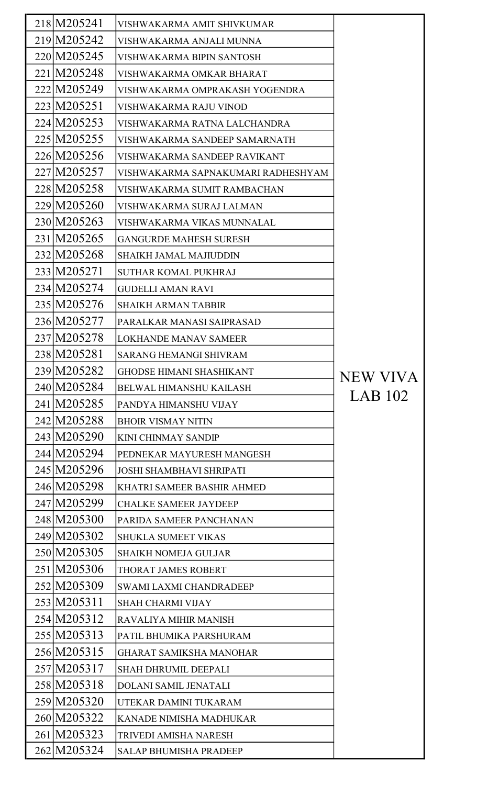| 218 M205241 | VISHWAKARMA AMIT SHIVKUMAR         |          |
|-------------|------------------------------------|----------|
| 219 M205242 | VISHWAKARMA ANJALI MUNNA           |          |
| 220 M205245 | VISHWAKARMA BIPIN SANTOSH          |          |
| 221 M205248 | VISHWAKARMA OMKAR BHARAT           |          |
| 222 M205249 | VISHWAKARMA OMPRAKASH YOGENDRA     |          |
| 223 M205251 | <b>VISHWAKARMA RAJU VINOD</b>      |          |
| 224 M205253 | VISHWAKARMA RATNA LALCHANDRA       |          |
| 225 M205255 | VISHWAKARMA SANDEEP SAMARNATH      |          |
| 226 M205256 | VISHWAKARMA SANDEEP RAVIKANT       |          |
| 227 M205257 | VISHWAKARMA SAPNAKUMARI RADHESHYAM |          |
| 228 M205258 | VISHWAKARMA SUMIT RAMBACHAN        |          |
| 229 M205260 | VISHWAKARMA SURAJ LALMAN           |          |
| 230 M205263 | VISHWAKARMA VIKAS MUNNALAL         |          |
| 231 M205265 | <b>GANGURDE MAHESH SURESH</b>      |          |
| 232 M205268 | <b>SHAIKH JAMAL MAJIUDDIN</b>      |          |
| 233 M205271 | <b>SUTHAR KOMAL PUKHRAJ</b>        |          |
| 234 M205274 | <b>GUDELLI AMAN RAVI</b>           |          |
| 235 M205276 | <b>SHAIKH ARMAN TABBIR</b>         |          |
| 236 M205277 | PARALKAR MANASI SAIPRASAD          |          |
| 237 M205278 | <b>LOKHANDE MANAV SAMEER</b>       |          |
| 238 M205281 | <b>SARANG HEMANGI SHIVRAM</b>      |          |
| 239 M205282 | <b>GHODSE HIMANI SHASHIKANT</b>    | NEW VIVA |
| 240 M205284 | <b>BELWAL HIMANSHU KAILASH</b>     |          |
| 241 M205285 | PANDYA HIMANSHU VIJAY              | LAB 102  |
| 242 M205288 | <b>BHOIR VISMAY NITIN</b>          |          |
| 243 M205290 | <b>KINI CHINMAY SANDIP</b>         |          |
| 244 M205294 | PEDNEKAR MAYURESH MANGESH          |          |
| 245 M205296 | <b>JOSHI SHAMBHAVI SHRIPATI</b>    |          |
| 246 M205298 | KHATRI SAMEER BASHIR AHMED         |          |
| 247 M205299 | <b>CHALKE SAMEER JAYDEEP</b>       |          |
| 248 M205300 | PARIDA SAMEER PANCHANAN            |          |
| 249 M205302 | <b>SHUKLA SUMEET VIKAS</b>         |          |
| 250 M205305 | <b>SHAIKH NOMEJA GULJAR</b>        |          |
| 251 M205306 | THORAT JAMES ROBERT                |          |
| 252 M205309 | <b>SWAMI LAXMI CHANDRADEEP</b>     |          |
| 253 M205311 | <b>SHAH CHARMI VIJAY</b>           |          |
| 254 M205312 | <b>RAVALIYA MIHIR MANISH</b>       |          |
| 255 M205313 | PATIL BHUMIKA PARSHURAM            |          |
| 256 M205315 | <b>GHARAT SAMIKSHA MANOHAR</b>     |          |
| 257 M205317 | <b>SHAH DHRUMIL DEEPALI</b>        |          |
| 258 M205318 | <b>DOLANI SAMIL JENATALI</b>       |          |
| 259 M205320 | UTEKAR DAMINI TUKARAM              |          |
| 260 M205322 | KANADE NIMISHA MADHUKAR            |          |
| 261 M205323 | <b>TRIVEDI AMISHA NARESH</b>       |          |
| 262 M205324 | <b>SALAP BHUMISHA PRADEEP</b>      |          |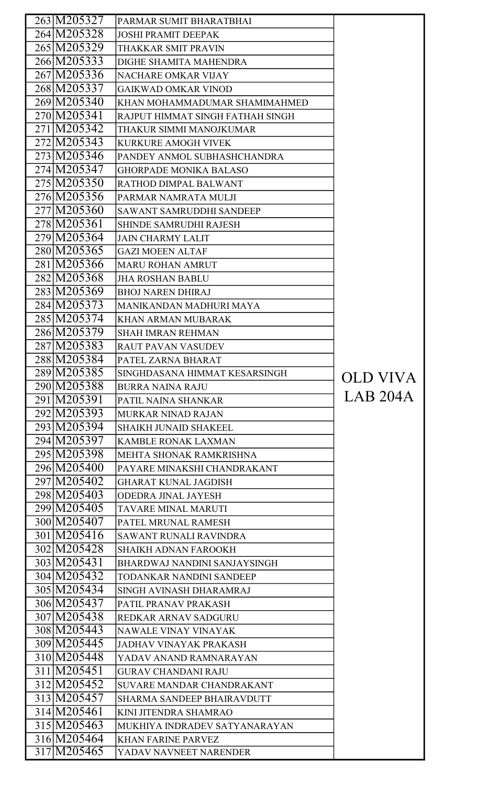| 263 M205327 | PARMAR SUMIT BHARATBHAI          |          |
|-------------|----------------------------------|----------|
| 264 M205328 | <b>JOSHI PRAMIT DEEPAK</b>       |          |
| 265 M205329 | THAKKAR SMIT PRAVIN              |          |
| 266 M205333 | DIGHE SHAMITA MAHENDRA           |          |
| 267 M205336 | <b>NACHARE OMKAR VIJAY</b>       |          |
| 268 M205337 | <b>GAIKWAD OMKAR VINOD</b>       |          |
| 269 M205340 | KHAN MOHAMMADUMAR SHAMIMAHMED    |          |
| 270 M205341 | RAJPUT HIMMAT SINGH FATHAH SINGH |          |
| 271 M205342 | THAKUR SIMMI MANOJKUMAR          |          |
| 272 M205343 | <b>KURKURE AMOGH VIVEK</b>       |          |
| 273 M205346 | PANDEY ANMOL SUBHASHCHANDRA      |          |
| 274 M205347 | <b>GHORPADE MONIKA BALASO</b>    |          |
| 275 M205350 | RATHOD DIMPAL BALWANT            |          |
| 276 M205356 | PARMAR NAMRATA MULJI             |          |
| 277 M205360 | <b>SAWANT SAMRUDDHI SANDEEP</b>  |          |
| 278 M205361 | <b>SHINDE SAMRUDHI RAJESH</b>    |          |
| 279 M205364 | <b>JAIN CHARMY LALIT</b>         |          |
| 280 M205365 | <b>GAZI MOEEN ALTAF</b>          |          |
| 281 M205366 | <b>MARU ROHAN AMRUT</b>          |          |
| 282 M205368 | <b>JHA ROSHAN BABLU</b>          |          |
| 283 M205369 | <b>BHOJ NAREN DHIRAJ</b>         |          |
| 284 M205373 | MANIKANDAN MADHURI MAYA          |          |
| 285 M205374 | <b>KHAN ARMAN MUBARAK</b>        |          |
| 286 M205379 | <b>SHAH IMRAN REHMAN</b>         |          |
| 287 M205383 | <b>RAUT PAVAN VASUDEV</b>        |          |
| 288 M205384 | PATEL ZARNA BHARAT               |          |
| 289 M205385 | SINGHDASANA HIMMAT KESARSINGH    |          |
| 290 M205388 | <b>BURRA NAINA RAJU</b>          | OLD VIVA |
| 291 M205391 | PATIL NAINA SHANKAR              | LAB 204A |
| 292 M205393 | MURKAR NINAD RAJAN               |          |
| 293 M205394 | <b>SHAIKH JUNAID SHAKEEL</b>     |          |
| 294 M205397 | <b>KAMBLE RONAK LAXMAN</b>       |          |
| 295 M205398 | MEHTA SHONAK RAMKRISHNA          |          |
| 296 M205400 | PAYARE MINAKSHI CHANDRAKANT      |          |
| 297 M205402 | <b>GHARAT KUNAL JAGDISH</b>      |          |
| 298 M205403 | <b>ODEDRA JINAL JAYESH</b>       |          |
| 299 M205405 | TAVARE MINAL MARUTI              |          |
| 300 M205407 | PATEL MRUNAL RAMESH              |          |
| 301 M205416 | <b>SAWANT RUNALI RAVINDRA</b>    |          |
| 302 M205428 | <b>SHAIKH ADNAN FAROOKH</b>      |          |
| 303 M205431 | BHARDWAJ NANDINI SANJAYSINGH     |          |
| 304 M205432 | TODANKAR NANDINI SANDEEP         |          |
| 305 M205434 | SINGH AVINASH DHARAMRAJ          |          |
| 306 M205437 | PATIL PRANAV PRAKASH             |          |
| 307 M205438 | REDKAR ARNAV SADGURU             |          |
| 308 M205443 | NAWALE VINAY VINAYAK             |          |
| 309 M205445 | <b>JADHAV VINAYAK PRAKASH</b>    |          |
| 310 M205448 | YADAV ANAND RAMNARAYAN           |          |
| 311 M205451 | <b>GURAV CHANDANI RAJU</b>       |          |
| 312 M205452 | <b>SUVARE MANDAR CHANDRAKANT</b> |          |
| 313 M205457 | SHARMA SANDEEP BHAIRAVDUTT       |          |
| 314 M205461 | KINI JITENDRA SHAMRAO            |          |
| 315 M205463 | MUKHIYA INDRADEV SATYANARAYAN    |          |
| 316 M205464 | <b>KHAN FARINE PARVEZ</b>        |          |
| 317 M205465 | YADAV NAVNEET NARENDER           |          |
|             |                                  |          |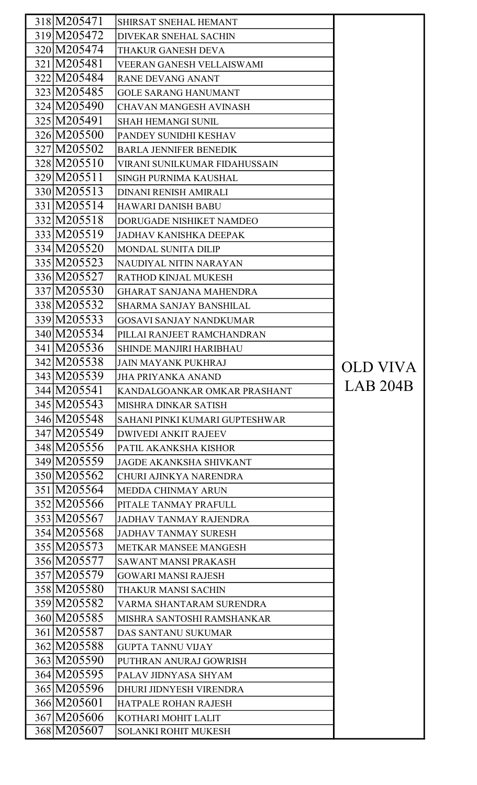| 318 M205471                | SHIRSAT SNEHAL HEMANT          |                 |
|----------------------------|--------------------------------|-----------------|
| 319 M205472                | <b>DIVEKAR SNEHAL SACHIN</b>   |                 |
| 320 M205474                | <b>THAKUR GANESH DEVA</b>      |                 |
| 321 M205481                | VEERAN GANESH VELLAISWAMI      |                 |
| 322 M205484                | <b>RANE DEVANG ANANT</b>       |                 |
| 323 M205485                | <b>GOLE SARANG HANUMANT</b>    |                 |
| 324 M205490                | <b>CHAVAN MANGESH AVINASH</b>  |                 |
| 325 M205491                | <b>SHAH HEMANGI SUNIL</b>      |                 |
| 326 M205500                | PANDEY SUNIDHI KESHAV          |                 |
| 327 M205502                | <b>BARLA JENNIFER BENEDIK</b>  |                 |
| 328 M205510                | VIRANI SUNILKUMAR FIDAHUSSAIN  |                 |
| 329 M205511                | SINGH PURNIMA KAUSHAL          |                 |
| 330 M205513                | <b>DINANI RENISH AMIRALI</b>   |                 |
| 331 M205514                | <b>HAWARI DANISH BABU</b>      |                 |
| 332 M205518                | DORUGADE NISHIKET NAMDEO       |                 |
| 333 M205519                | <b>JADHAV KANISHKA DEEPAK</b>  |                 |
| 334 M205520                | MONDAL SUNITA DILIP            |                 |
| 335 M205523                | NAUDIYAL NITIN NARAYAN         |                 |
| 336 M205527                | RATHOD KINJAL MUKESH           |                 |
| 337 M205530                | <b>GHARAT SANJANA MAHENDRA</b> |                 |
| 338 M205532                | <b>SHARMA SANJAY BANSHILAL</b> |                 |
| 339 M205533                | <b>GOSAVI SANJAY NANDKUMAR</b> |                 |
| 340 M205534                | PILLAI RANJEET RAMCHANDRAN     |                 |
| 341 M205536                | <b>SHINDE MANJIRI HARIBHAU</b> |                 |
| 342 M205538                | <b>JAIN MAYANK PUKHRAJ</b>     | <b>OLD VIVA</b> |
| 343 M205539                | <b>JHA PRIYANKA ANAND</b>      |                 |
| 344 M205541                | KANDALGOANKAR OMKAR PRASHANT   | <b>LAB 204B</b> |
| 345 M205543                | <b>MISHRA DINKAR SATISH</b>    |                 |
| 346 M205548                | SAHANI PINKI KUMARI GUPTESHWAR |                 |
| 347 M205549                | <b>DWIVEDI ANKIT RAJEEV</b>    |                 |
| 348 M205556                | PATIL AKANKSHA KISHOR          |                 |
| 349 M205559                |                                |                 |
|                            | <b>JAGDE AKANKSHA SHIVKANT</b> |                 |
| 350 M205562                | CHURI AJINKYA NARENDRA         |                 |
| 351 M205564                | <b>MEDDA CHINMAY ARUN</b>      |                 |
| 352 M205566                | PITALE TANMAY PRAFULL          |                 |
| 353 M205567                | <b>JADHAV TANMAY RAJENDRA</b>  |                 |
| 354 M205568                | <b>JADHAV TANMAY SURESH</b>    |                 |
| 355 M205573                | <b>METKAR MANSEE MANGESH</b>   |                 |
| 356 M205577                | <b>SAWANT MANSI PRAKASH</b>    |                 |
| 357 M205579                | <b>GOWARI MANSI RAJESH</b>     |                 |
| 358 M205580                | THAKUR MANSI SACHIN            |                 |
| 359 M205582                | VARMA SHANTARAM SURENDRA       |                 |
| 360 M205585                | MISHRA SANTOSHI RAMSHANKAR     |                 |
| 361 M205587                | <b>DAS SANTANU SUKUMAR</b>     |                 |
| 362 M205588                | <b>GUPTA TANNU VIJAY</b>       |                 |
| 363 M205590                | PUTHRAN ANURAJ GOWRISH         |                 |
| 364 M205595                | PALAV JIDNYASA SHYAM           |                 |
| 365 M205596                | DHURI JIDNYESH VIRENDRA        |                 |
| 366 M205601                | HATPALE ROHAN RAJESH           |                 |
| 367 M205606<br>368 M205607 | KOTHARI MOHIT LALIT            |                 |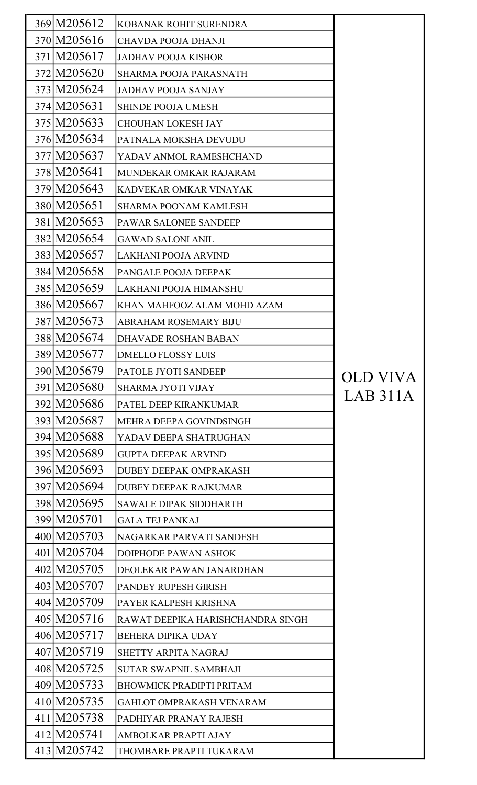| 369 M205612  | KOBANAK ROHIT SURENDRA            |          |
|--------------|-----------------------------------|----------|
| 370 M205616  | <b>CHAVDA POOJA DHANJI</b>        |          |
| 371 M205617  | <b>JADHAV POOJA KISHOR</b>        |          |
| 372 M205620  | <b>SHARMA POOJA PARASNATH</b>     |          |
| 373 M205624  | <b>JADHAV POOJA SANJAY</b>        |          |
| 374 M205631  | <b>SHINDE POOJA UMESH</b>         |          |
| 375 M205633  | <b>CHOUHAN LOKESH JAY</b>         |          |
| 376 M205634  | PATNALA MOKSHA DEVUDU             |          |
| 377 M205637  | YADAV ANMOL RAMESHCHAND           |          |
| 378 M 205641 | MUNDEKAR OMKAR RAJARAM            |          |
| 379 M 205643 | KADVEKAR OMKAR VINAYAK            |          |
| 380 M205651  | <b>SHARMA POONAM KAMLESH</b>      |          |
| 381 M205653  | PAWAR SALONEE SANDEEP             |          |
| 382 M205654  | <b>GAWAD SALONI ANIL</b>          |          |
| 383 M205657  | LAKHANI POOJA ARVIND              |          |
| 384 M205658  | PANGALE POOJA DEEPAK              |          |
| 385 M205659  | LAKHANI POOJA HIMANSHU            |          |
| 386 M205667  | KHAN MAHFOOZ ALAM MOHD AZAM       |          |
| 387 M205673  | <b>ABRAHAM ROSEMARY BIJU</b>      |          |
| 388 M205674  | <b>DHAVADE ROSHAN BABAN</b>       |          |
| 389 M205677  | <b>DMELLO FLOSSY LUIS</b>         |          |
| 390 M205679  | <b>PATOLE JYOTI SANDEEP</b>       | OLD VIVA |
| 391 M205680  | <b>SHARMA JYOTI VIJAY</b>         | LAB 311A |
| 392 M205686  | PATEL DEEP KIRANKUMAR             |          |
| 393 M205687  | MEHRA DEEPA GOVINDSINGH           |          |
| 394 M205688  | YADAV DEEPA SHATRUGHAN            |          |
| 395 M205689  | <b>GUPTA DEEPAK ARVIND</b>        |          |
| 396 M205693  | DUBEY DEEPAK OMPRAKASH            |          |
| 397 M205694  | <b>DUBEY DEEPAK RAJKUMAR</b>      |          |
| 398 M205695  | <b>SAWALE DIPAK SIDDHARTH</b>     |          |
| 399 M205701  | <b>GALA TEJ PANKAJ</b>            |          |
| 400 M205703  | NAGARKAR PARVATI SANDESH          |          |
| 401 M205704  | <b>DOIPHODE PAWAN ASHOK</b>       |          |
| 402 M205705  | DEOLEKAR PAWAN JANARDHAN          |          |
| 403 M205707  | PANDEY RUPESH GIRISH              |          |
| 404 M205709  | PAYER KALPESH KRISHNA             |          |
| 405 M205716  | RAWAT DEEPIKA HARISHCHANDRA SINGH |          |
| 406 M205717  | <b>BEHERA DIPIKA UDAY</b>         |          |
| 407 M205719  | SHETTY ARPITA NAGRAJ              |          |
| 408 M205725  | <b>SUTAR SWAPNIL SAMBHAJI</b>     |          |
| 409 M205733  | <b>BHOWMICK PRADIPTI PRITAM</b>   |          |
| 410 M205735  | <b>GAHLOT OMPRAKASH VENARAM</b>   |          |
| 411 M205738  | PADHIYAR PRANAY RAJESH            |          |
| 412M205741   | AMBOLKAR PRAPTI AJAY              |          |
| 413 M205742  | THOMBARE PRAPTI TUKARAM           |          |